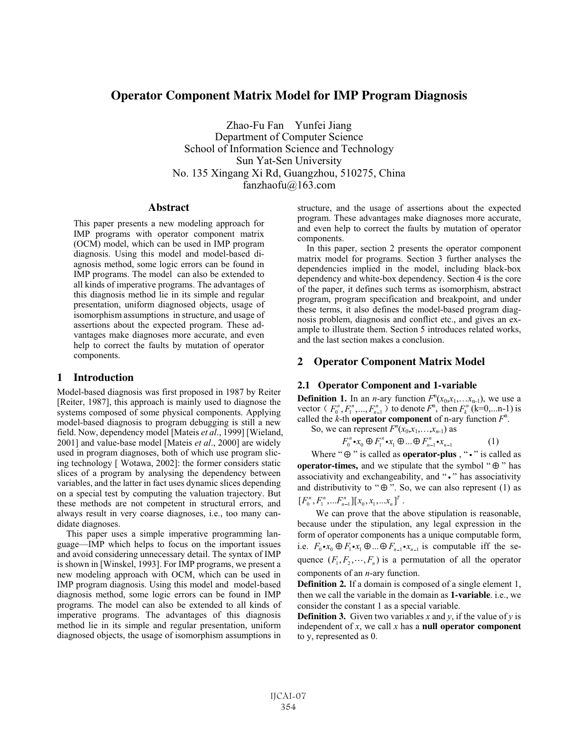# **Operator Component Matrix Model for IMP Program Diagnosis**

Zhao-Fu Fan Yunfei Jiang Department of Computer Science School of Information Science and Technology Sun Yat-Sen University No. 135 Xingang Xi Rd, Guangzhou, 510275, China fanzhaofu@163.com

# **Abstract**

This paper presents a new modeling approach for IMP programs with operator component matrix (OCM) model, which can be used in IMP program diagnosis. Using this model and model-based diagnosis method, some logic errors can be found in IMP programs. The model can also be extended to all kinds of imperative programs. The advantages of this diagnosis method lie in its simple and regular presentation, uniform diagnosed objects, usage of isomorphism assumptions in structure, and usage of assertions about the expected program. These advantages make diagnoses more accurate, and even help to correct the faults by mutation of operator components.

## **1 Introduction**

Model-based diagnosis was first proposed in 1987 by Reiter [Reiter, 1987], this approach is mainly used to diagnose the systems composed of some physical components. Applying model-based diagnosis to program debugging is still a new field. Now, dependency model [Mateis *et al*., 1999] [Wieland, 2001] and value-base model [Mateis *et al*., 2000] are widely used in program diagnoses, both of which use program slicing technology [ Wotawa, 2002]: the former considers static slices of a program by analysing the dependency between variables, and the latter in fact uses dynamic slices depending on a special test by computing the valuation trajectory. But these methods are not competent in structural errors, and always result in very coarse diagnoses, i.e., too many candidate diagnoses.

This paper uses a simple imperative programming language—IMP which helps to focus on the important issues and avoid considering unnecessary detail. The syntax of IMP is shown in [Winskel, 1993]. For IMP programs, we present a new modeling approach with OCM, which can be used in IMP program diagnosis. Using this model and model-based diagnosis method, some logic errors can be found in IMP programs. The model can also be extended to all kinds of imperative programs. The advantages of this diagnosis method lie in its simple and regular presentation, uniform diagnosed objects, the usage of isomorphism assumptions in

structure, and the usage of assertions about the expected program. These advantages make diagnoses more accurate, and even help to correct the faults by mutation of operator components.

In this paper, section 2 presents the operator component matrix model for programs. Section 3 further analyses the dependencies implied in the model, including black-box dependency and white-box dependency. Section 4 is the core of the paper, it defines such terms as isomorphism, abstract program, program specification and breakpoint, and under these terms, it also defines the model-based program diagnosis problem, diagnosis and conflict etc., and gives an example to illustrate them. Section 5 introduces related works, and the last section makes a conclusion.

## **2 Operator Component Matrix Model**

### **2.1 Operator Component and 1-variable**

**Definition 1.** In an *n*-ary function  $F^{n}(x_0, x_1, \ldots, x_{n-1})$ , we use a vector  $(F_0^n, F_1^n, ..., F_{n-1}^n)$  to denote  $F_0^n$ , then  $F_k^n$  (k=0,...n-1) is called the  $k$ -th **operator component** of n-ary function  $F<sup>n</sup>$ .

So, we can represent  $F^n(x_0, x_1, \ldots, x_{n-1})$  as

$$
F_0^n \bullet x_0 \oplus F_1^n \bullet x_1 \oplus \dots \oplus F_{n-1}^n \bullet x_{n-1} \tag{1}
$$

Where " $\oplus$ " is called as **operator-plus**, " $\cdot$ " is called as **operator-times,** and we stipulate that the symbol " $\oplus$ " has associativity and exchangeability, and "." has associativity and distributivity to " $\oplus$ ". So, we can also represent (1) as  $[F_0^n, F_1^n, \ldots, F_{n-1}^n][x_0, x_1, \ldots, x_n]^T$ .

We can prove that the above stipulation is reasonable, because under the stipulation, any legal expression in the form of operator components has a unique computable form, i.e.  $F_0 \cdot x_0 \oplus F_1 \cdot x_1 \oplus ... \oplus F_{n-1} \cdot x_{n-1}$  is computable iff the sequence  $(F_1, F_2, \dots, F_n)$  is a permutation of all the operator components of an *n*-ary function.

**Definition 2.** If a domain is composed of a single element 1, then we call the variable in the domain as **1-variable**. i.e., we consider the constant 1 as a special variable.

**Definition 3.** Given two variables x and y, if the value of y is independent of  $x$ , we call  $x$  has a **null operator component** to y, represented as 0.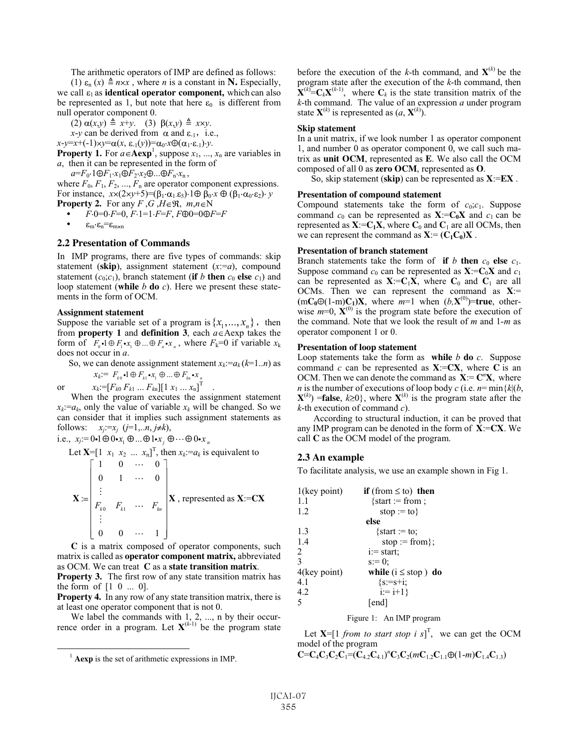The arithmetic operators of IMP are defined as follows:

(1)  $\varepsilon_n$  (*x*)  $\triangleq$  *n*×*x*, where *n* is a constant in **N**. Especially, we call  $\varepsilon_1$  as **identical operator component,** which can also be represented as 1, but note that here  $\varepsilon_0$  is different from null operator component 0.

 $(2) \alpha(x,y) \triangleq x+y$ . (3)  $\beta(x,y) \triangleq x \times y$ .

 $x-y$  can be derived from  $\alpha$  and  $\varepsilon_{-1}$ , i.e.,

 $x-y=x+(-1) \times y=\alpha(x, \varepsilon_1(y))=\alpha_0 \cdot x \oplus (\alpha_1 \cdot \varepsilon_1) \cdot y.$ 

**Property 1.** For  $a \in \mathbf{Aexp}^1$ , suppose  $x_1, ..., x_n$  are variables in *a*, then it can be represented in the form of

 $a=F_0 \cdot 1 \oplus F_1 \cdot x_1 \oplus F_2 \cdot x_2 \oplus \ldots \oplus F_n \cdot x_n$ ,

where  $F_0$ ,  $F_1$ ,  $F_2$ , ...,  $F_n$  are operator component expressions. For instance,  $x \times (2 \times y + 5) = (\beta_1 \cdot \alpha_1 \cdot \epsilon_5) \cdot 1 \oplus \beta_0 \cdot x \oplus (\beta_1 \cdot \alpha_0 \cdot \epsilon_2) \cdot y$ **Property 2.** For any *F*, *G*, *H* $\in$ <sup>*R*</sup>, *m*,*n* $\in$ N

 $F \cdot 0 = 0 \cdot F = 0$ ,  $F \cdot 1 = 1 \cdot F = F$ ,  $F \oplus 0 = 0 \oplus F = F$ 

 $\varepsilon_{\rm m} \cdot \varepsilon_{\rm n} = \varepsilon_{\rm m \times n}$ 

### **2.2 Presentation of Commands**

In IMP programs, there are five types of commands: skip statement (**skip**), assignment statement (*x*:=*a*), compound statement  $(c_0; c_1)$ , branch statement (**if** *b* **then**  $c_0$  **else**  $c_1$ ) and loop statement (**while** *b* **do** *c*). Here we present these statements in the form of OCM.

#### **Assignment statement**

Suppose the variable set of a program is  $\{x_1, ..., x_n\}$ , then from **property** 1 and **definition** 3, each  $a \in \text{Aexp}$  takes the form of  $F_0 \cdot 1 \oplus F_1 \cdot x_1 \oplus ... \oplus F_n \cdot x_n$ , where  $F_k=0$  if variable  $x_k$ does not occur in *a*.

So, we can denote assignment statement  $x_k := a_k (k=1..n)$  as

$$
x_k := F_{k0} \cdot \mathbf{1} \oplus F_{k1} \cdot x_1 \oplus \dots \oplus F_{kn} \cdot x_n
$$
  
or 
$$
x_k := [F_{k0} F_{k1} \dots F_{kn}][1 x_1 \dots x_n]^T
$$

When the program executes the assignment statement  $x_k = a_k$ , only the value of variable  $x_k$  will be changed. So we can consider that it implies such assignment statements as follows:  $x_j := x_j$  ( $j=1,...n, j \neq k$ ),

i.e.,  $x_j = 0 \cdot 1 \oplus 0 \cdot x_1 \oplus ... \oplus 1 \cdot x_j \oplus ... \oplus 0 \cdot x_n$ 

Let 
$$
\mathbf{X} = \begin{bmatrix} 1 & x_1 & x_2 & \dots & x_n \end{bmatrix}^T
$$
, then  $x_k := a_k$  is equivalent to  
\n
$$
\mathbf{X} := \begin{bmatrix} 1 & 0 & \cdots & 0 \\ 0 & 1 & \cdots & 0 \\ \vdots & & & \\ F_{k0} & F_{k1} & \cdots & F_{kn} \\ \vdots & & & \\ 0 & 0 & \cdots & 1 \end{bmatrix} \mathbf{X}
$$
, represented as  $\mathbf{X} := \mathbf{C}\mathbf{X}$ 

**C** is a matrix composed of operator components, such matrix is called as **operator component matrix,** abbreviated as OCM. We can treat **C** as a **state transition matrix**.

**Property 3.** The first row of any state transition matrix has the form of  $[1 \ 0 \ ... \ 0]$ .

**Property 4.** In any row of any state transition matrix, there is at least one operator component that is not 0.

We label the commands with  $1, 2, \ldots$ , n by their occurrence order in a program. Let  $X^{(k-1)}$  be the program state

before the execution of the *k*-th command, and  $X^{(k)}$  be the program state after the execution of the *k*-th command, then  $\mathbf{X}^{(k)} = \mathbf{C}_k \mathbf{X}^{(k-1)}$ , where  $\mathbf{C}_k$  is the state transition matrix of the *k*-th command. The value of an expression *a* under program state  $\mathbf{X}^{(k)}$  is represented as  $(a, \mathbf{X}^{(k)})$ .

#### **Skip statement**

In a unit matrix, if we look number 1 as operator component 1, and number 0 as operator component 0, we call such matrix as **unit OCM**, represented as **E**. We also call the OCM composed of all 0 as **zero OCM**, represented as **O**.

So, skip statement (**skip**) can be represented as **X**:=**EX** .

#### **Presentation of compound statement**

Compound statements take the form of  $c_0$ ; $c_1$ . Suppose command  $c_0$  can be represented as  $\mathbf{X}:=\mathbf{C}_0\mathbf{X}$  and  $c_1$  can be represented as  $X:=C_1X$ , where  $C_0$  and  $C_1$  are all OCMs, then we can represent the command as  $X:=(C_1C_0)X$ .

### **Presentation of branch statement**

Branch statements take the form of **if** *b* **then**  $c_0$  **else**  $c_1$ . Suppose command  $c_0$  can be represented as  $X:=C_0X$  and  $c_1$ can be represented as  $X:=C_1X$ , where  $C_0$  and  $C_1$  are all OCMs. Then we can represent the command as **X**:=  $(mC_0 \oplus (1-m)C_1)X$ , where  $m=1$  when  $(b, X^{(0)})$ =true, otherwise  $m=0$ ,  $\mathbf{X}^{(0)}$  is the program state before the execution of the command. Note that we look the result of *m* and 1-*m* as operator component 1 or 0.

#### **Presentation of loop statement**

Loop statements take the form as while  $b$  **do**  $c$ . Suppose command *c* can be represented as  $X:=CX$ , where C is an OCM. Then we can denote the command as  $X := C^n X$ , where *n* is the number of executions of loop body *c* (i.e.  $n = \min\{k | (b,$  $X^{(k)}$ ) = **false**,  $k \ge 0$ , where  $X^{(k)}$  is the program state after the *k*-th execution of command *c*).

According to structural induction, it can be proved that any IMP program can be denoted in the form of **X**:=**CX**. We call **C** as the OCM model of the program.

## **2.3 An example**

To facilitate analysis, we use an example shown in Fig 1.

| $1$ (key point) | <b>if</b> (from $\leq$ to) <b>then</b> |
|-----------------|----------------------------------------|
| 1.1             | $\{start := from;$                     |
| 1.2             | stop := to $\}$                        |
|                 | else                                   |
| 1.3             | $\{start := to;$                       |
| 1.4             | stop := from $\}$ ;                    |
| 2               | $i := start$ :                         |
| $\mathbf{3}$    | $s = 0$ ;                              |
| 4(key point)    | while ( $i \leq$ stop) do              |
| 4.1             | $\{s:=s+i\}$                           |
| 4.2             | $i := i+1$                             |
| 5               | [end]                                  |

#### Figure 1: An IMP program

Let  $X = [1 \text{ from to start stop } i s]^T$ , we can get the OCM model of the program

 $C=C_4C_3C_2C_1=(C_{4.2}C_{4.1})^nC_3C_2(mC_{1.2}C_{1.1}\oplus (1-m)C_{1.4}C_{1.3})$ 

<sup>&</sup>lt;sup>1</sup> **Aexp** is the set of arithmetic expressions in IMP.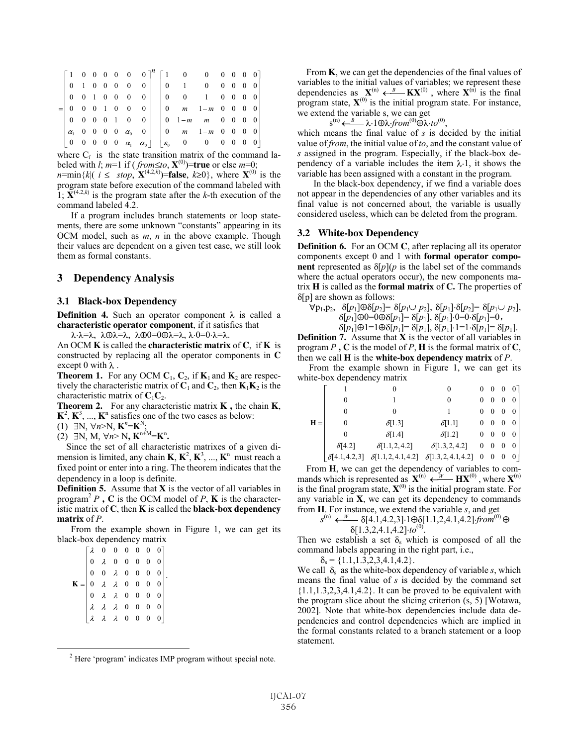|  |  |  |  |  | $\begin{bmatrix} 1 & 0 & 0 & 0 & 0 & 0 & 0 \end{bmatrix}^n \begin{bmatrix} 1 & 0 & 0 & 0 & 0 & 0 \end{bmatrix}$                               |  |  |
|--|--|--|--|--|-----------------------------------------------------------------------------------------------------------------------------------------------|--|--|
|  |  |  |  |  | $0$ 1 0 0 0 0 0 0 0 1 0 0 0 0 0 0                                                                                                             |  |  |
|  |  |  |  |  |                                                                                                                                               |  |  |
|  |  |  |  |  | $0 \t 0 \t 1 \t 0 \t 0 \t 0 \t 0 \t 0 \t 0 \t m \t 1-m \t 0 \t 0 \t 0 \t 0$                                                                   |  |  |
|  |  |  |  |  |                                                                                                                                               |  |  |
|  |  |  |  |  | $\begin{array}{ ccc ccc ccc ccc c c c c c c c } \hline \alpha_1 & 0 & 0 & 0 & 0 & \alpha_0 & 0 & 0 & 0 & m & 1-m & 0 & 0 & 0 & 0 \end{array}$ |  |  |
|  |  |  |  |  | $\begin{bmatrix} 0 & 0 & 0 & 0 & 0 & \alpha_1 & \alpha_0 \end{bmatrix}$ $\begin{bmatrix} \varepsilon_0 & 0 & 0 & 0 & 0 & 0 \end{bmatrix}$     |  |  |

where  $C_l$  is the state transition matrix of the command labeled with *l*;  $m=1$  if ( $from \leq to, \mathbf{X}^{(0)}$ )=true or else  $m=0$ ;  $n = \min\{k \mid (i \leq stop, \mathbf{X}^{(4,2,k)}) = \text{false}, k \geq 0\}$ , where  $\mathbf{X}^{(0)}$  is the program state before execution of the command labeled with 1;  $\mathbf{X}^{(4.2,k)}$  is the program state after the *k*-th execution of the command labeled 4.2.

If a program includes branch statements or loop statements, there are some unknown "constants" appearing in its OCM model, such as *m*, *n* in the above example. Though their values are dependent on a given test case, we still look them as formal constants.

## **3 Dependency Analysis**

#### **3.1 Black-box Dependency**

**Definition 4.** Such an operator component  $\lambda$  is called a **characteristic operator component**, if it satisfies that

 $\lambda \cdot \lambda = \lambda$ ,  $\lambda \oplus \lambda = \lambda$ ,  $\lambda \oplus 0 = 0 \oplus \lambda = \lambda$ ,  $\lambda \cdot 0 = 0 \cdot \lambda = \lambda$ .

An OCM **K** is called the **characteristic matrix** of **C**, if **K** is constructed by replacing all the operator components in **C** except 0 with  $\lambda$ .

**Theorem 1.** For any OCM  $C_1$ ,  $C_2$ , if  $K_1$  and  $K_2$  are respectively the characteristic matrix of  $C_1$  and  $C_2$ , then  $K_1K_2$  is the characteristic matrix of  $C_1C_2$ .

**Theorem 2.** For any characteristic matrix **K ,** the chain **K**,  $K^2$ ,  $K^3$ , ...,  $K^n$  satisfies one of the two cases as below:

 $(1)$   $\exists N, \forall n > N, \mathbf{K}^n = \mathbf{K}^N;$ 

 $(2)$   $\exists N, M, \forall n > N, K^{n+M} = K^n$ .

Since the set of all characteristic matrixes of a given dimension is limited, any chain  $\mathbf{K}, \mathbf{K}^2, \mathbf{K}^3, \dots, \mathbf{K}^n$  must reach a fixed point or enter into a ring. The theorem indicates that the dependency in a loop is definite.

**Definition 5.** Assume that **X** is the vector of all variables in program<sup>2</sup> *P*, **C** is the OCM model of *P*, **K** is the characteristic matrix of **C**, then **K** is called the **black-box dependency matrix** of *P*.

From the example shown in Figure 1, we can get its black-box dependency matrix

| $\mathbf{K} = \begin{bmatrix} \lambda & 0 & 0 & 0 & 0 & 0 & 0 \\ 0 & \lambda & 0 & 0 & 0 & 0 & 0 \\ 0 & 0 & \lambda & 0 & 0 & 0 & 0 \\ 0 & \lambda & \lambda & 0 & 0 & 0 & 0 \\ 0 & \lambda & \lambda & 0 & 0 & 0 & 0 \\ \lambda & \lambda & \lambda & 0 & 0 & 0 & 0 \\ \lambda & \lambda & \lambda & 0 & 0 & 0 & 0 \\ \lambda & \lambda & \lambda & 0 & 0 & 0 & 0 \\ \end{bmatrix}.$ |  |  |  |  |
|---------------------------------------------------------------------------------------------------------------------------------------------------------------------------------------------------------------------------------------------------------------------------------------------------------------------------------------------------------------------------------------|--|--|--|--|

2 Here 'program' indicates IMP program without special note.

From **K**, we can get the dependencies of the final values of variables to the initial values of variables; we represent these dependencies as  $X^{(n)} \leftarrow B K X^{(0)}$ , where  $X^{(n)}$  is the final program state,  $X^{(0)}$  is the initial program state. For instance, we extend the variable s, we can get

 $s^{(n)} \longleftarrow B \lambda \cdot 1 \oplus \lambda \cdot from^{(0)} \oplus \lambda \cdot to^{(0)},$ 

which means the final value of *s* is decided by the initial value of *from*, the initial value of *to*, and the constant value of *s* assigned in the program. Especially, if the black-box dependency of a variable includes the item  $\lambda$ -1, it shows the variable has been assigned with a constant in the program.

In the black-box dependency, if we find a variable does not appear in the dependencies of any other variables and its final value is not concerned about, the variable is usually considered useless, which can be deleted from the program.

### **3.2 White-box Dependency**

**Definition 6.** For an OCM **C**, after replacing all its operator components except 0 and 1 with **formal operator component** represented as  $\delta[p](p)$  is the label set of the commands where the actual operators occur), the new components matrix **H** is called as the **formal matrix** of **C.** The properties of  $\delta[p]$  are shown as follows:

$$
p_1, p_2, \delta[p_1] \oplus \delta[p_2] = \delta[p_1 \cup p_2], \delta[p_1] \cdot \delta[p_2] = \delta[p_1 \cup p_2],
$$
  
\n
$$
\delta[p_1] \oplus 0 = 0 \oplus \delta[p_1] = \delta[p_1], \delta[p_1] \cdot 0 = 0 \cdot \delta[p_1] = 0,
$$

$$
\delta[p_1]\oplus 1=1\oplus \delta[p_1]=\delta[p_1],\,\delta[p_1]\cdot 1=1\cdot \delta[p_1]=\delta[p_1].
$$

**Definition 7.** Assume that **X** is the vector of all variables in program  $P$ ,  $C$  is the model of  $P$ ,  $H$  is the formal matrix of  $C$ , then we call **H** is the **white-box dependency matrix** of *P*.

From the example shown in Figure 1, we can get its white-box dependency matrix

|       |                      |                            |                            | $0\quad 0$       |                         | $\overline{0}$ |                |
|-------|----------------------|----------------------------|----------------------------|------------------|-------------------------|----------------|----------------|
|       | 0                    |                            | 0                          | $\mathbf{0}$     |                         |                | $\overline{0}$ |
|       | 0                    | 0                          |                            | $\mathbf{0}$     | $\mathbf{0}$            | $\bf{0}$       | $\overline{0}$ |
| $H =$ | $\theta$             | $\delta$ [1.3]             | $\delta$ [1.1]             | $\mathbf{0}$     | $\mathbf{0}$            | $\theta$       | $\overline{0}$ |
|       | 0                    | $\delta$ [1.4]             | $\delta$ [1.2]             | $\mathbf{0}$     | $\sim 0$                | $\overline{0}$ | $\overline{0}$ |
|       | $\delta$ [4.2]       | $\delta[1.1, 2, 4.2]$      | $\delta$ [1.3, 2, 4.2]     | $\boldsymbol{0}$ | $\overline{\mathbf{0}}$ | $\theta$       | $\overline{0}$ |
|       | $\delta$ [4.1,4.2,3] | $\delta[1.1, 2, 4.1, 4.2]$ | $\delta[1.3, 2, 4.1, 4.2]$ | $\bf{0}$         | $\bf{0}$                | $\bf{0}$       | 0 <sub>1</sub> |

From **H**, we can get the dependency of variables to commands which is represented as  $\mathbf{X}^{(n)} \leftarrow W \mathbf{H} \mathbf{X}^{(0)}$ , where  $\mathbf{X}^{(n)}$ is the final program state,  $X^{(0)}$  is the initial program state. For any variable in **X**, we can get its dependency to commands from **H**. For instance, we extend the variable *s*, and get

$$
s^{(n)} \xleftarrow{W} \delta[4.1, 4.2, 3] \cdot 1 \oplus \delta[1.1, 2, 4.1, 4.2] \cdot \text{from}^{(0)} \oplus \delta[1.3, 2, 4.1, 4.2] \cdot \text{to}^{(0)}.
$$

Then we establish a set  $\delta_s$  which is composed of all the command labels appearing in the right part, i.e.,

 $\delta_s = \{1.1, 1.3, 2, 3, 4.1, 4.2\}.$ 

We call  $\delta_s$  as the white-box dependency of variable *s*, which means the final value of *s* is decided by the command set  $\{1.1, 1.3, 2, 3, 4.1, 4.2\}$ . It can be proved to be equivalent with the program slice about the slicing criterion (s, 5) [Wotawa, 2002]. Note that white-box dependencies include data dependencies and control dependencies which are implied in the formal constants related to a branch statement or a loop statement.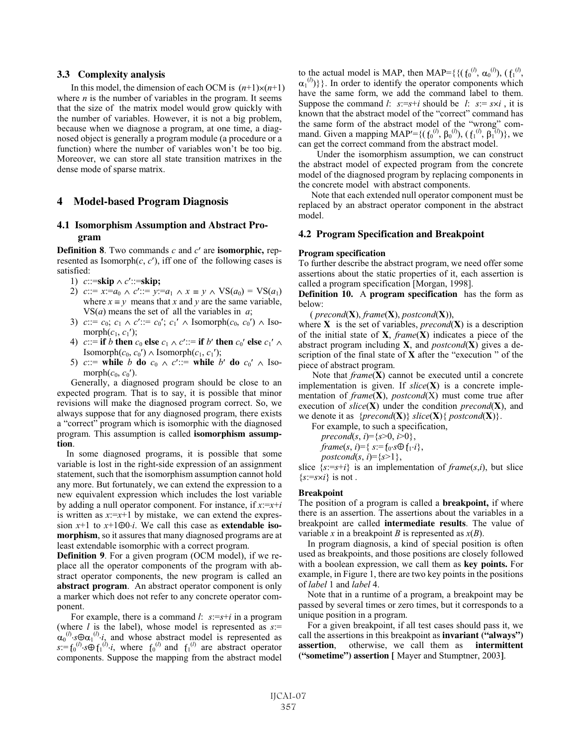### **3.3 Complexity analysis**

In this model, the dimension of each OCM is  $(n+1)\times(n+1)$ where *n* is the number of variables in the program. It seems that the size of the matrix model would grow quickly with the number of variables. However, it is not a big problem, because when we diagnose a program, at one time, a diagnosed object is generally a program module (a procedure or a function) where the number of variables won't be too big. Moreover, we can store all state transition matrixes in the dense mode of sparse matrix.

# **4 Model-based Program Diagnosis**

# **4.1 Isomorphism Assumption and Abstract Program**

**Definition 8.** Two commands  $c$  and  $c'$  are **isomorphic**, represented as Isomorph $(c, c')$ , iff one of the following cases is satisfied:

- 1)  $c::=$ **skip**  $\land$   $c':=$ **skip**;
- 2)  $c::= x:=a_0 \land c':= y:=a_1 \land x \equiv y \land VS(a_0) = VS(a_1)$ where  $x \equiv y$  means that *x* and *y* are the same variable, VS(*a*) means the set of all the variables in *a*;
- 3)  $c::= c_0$ ;  $c_1 \wedge c'::= c_0$ ;  $c_1' \wedge \text{Isomorph}(c_0, c_0') \wedge \text{Iso-}$ morph $(c_1, c_1)$ ;
- 4) *c*::= **if** *b* **then**  $c_0$  **else**  $c_1 \wedge c'$ ::= **if** *b'* **then**  $c_0'$  **else**  $c_1' \wedge c'$ Isomorph $(c_0, c_0') \wedge \text{Isomorph}(c_1, c_1')$ ;
- 5) *c*::= **while** *b* **do**  $c_0 \wedge c'$ ::= **while** *b'* **do**  $c_0' \wedge \text{Iso-}$ morph $(c_0, c_0')$ .

Generally, a diagnosed program should be close to an expected program. That is to say, it is possible that minor revisions will make the diagnosed program correct. So, we always suppose that for any diagnosed program, there exists a "correct" program which is isomorphic with the diagnosed program. This assumption is called **isomorphism assumption**.

In some diagnosed programs, it is possible that some variable is lost in the right-side expression of an assignment statement, such that the isomorphism assumption cannot hold any more. But fortunately, we can extend the expression to a new equivalent expression which includes the lost variable by adding a null operator component. For instance, if *x*:=*x*+*i* is written as  $x:=x+1$  by mistake, we can extend the expression  $x+1$  to  $x+1 \oplus 0 \cdot i$ . We call this case as **extendable isomorphism**, so it assures that many diagnosed programs are at least extendable isomorphic with a correct program.

**Definition 9.** For a given program (OCM model), if we replace all the operator components of the program with abstract operator components, the new program is called an **abstract program**. An abstract operator component is only a marker which does not refer to any concrete operator component.

For example, there is a command *l*:  $s:=s+i$  in a program (where *l* is the label), whose model is represented as *s*:=  $\int_0^{(l)} s \bigoplus \alpha_1^{(l)} i$ , and whose abstract model is represented as  $s = f_0^{(l)} \cdot s \oplus f_1^{(l)} \cdot i$ , where  $f_0^{(l)}$  and  $f_1^{(l)}$  are abstract operator components. Suppose the mapping from the abstract model

to the actual model is MAP, then MAP={{( $f_0^{(l)}$ ,  $\alpha_0^{(l)}$ ), ( $f_1^{(l)}$ , <sup>1(1)</sup>) } }. In order to identify the operator components which have the same form, we add the command label to them. Suppose the command *l*:  $s:=s+i$  should be *l*:  $s:=s\times i$ , it is known that the abstract model of the "correct" command has the same form of the abstract model of the "wrong" command. Given a mapping MAP'={( $f_0^{(l)}$ ,  $\beta_0^{(l)}$ ), ( $f_1^{(l)}$ ,  $\beta_1^{(l)}$ )}, we can get the correct command from the abstract model.

Under the isomorphism assumption, we can construct the abstract model of expected program from the concrete model of the diagnosed program by replacing components in the concrete model with abstract components.

Note that each extended null operator component must be replaced by an abstract operator component in the abstract model.

### **4.2 Program Specification and Breakpoint**

#### **Program specification**

To further describe the abstract program, we need offer some assertions about the static properties of it, each assertion is called a program specification [Morgan, 1998].

**Definition 10.** A **program specification** has the form as below:

( *precond*(**X**), *frame*(**X**), *postcond*(**X**)),

where  $X$  is the set of variables, *precond*( $X$ ) is a description of the initial state of **X**, *frame*(**X**) indicates a piece of the abstract program including **X**, and *postcond*(**X**) gives a description of the final state of **X** after the "execution " of the piece of abstract program.

Note that *frame*(**X**) cannot be executed until a concrete implementation is given. If  $slice(X)$  is a concrete implementation of *frame*(**X**), *postcond*(X) must come true after execution of *slice*(**X**) under the condition *precond*(**X**), and we denote it as  $\{precond(\mathbf{X})\}$  *slice*( $\mathbf{X}\}$ ) $\{postcond(\mathbf{X})\}$ .

For example, to such a specification,

*precond*(*s*, *i*)={ $s > 0$ , *i* $> 0$ },

*frame*(*s*, *i*)={ $s:= f_0 \cdot s \oplus f_1 \cdot i$ },

*postcond*( $s$ ,  $i$ )={ $s>1$ },

slice  $\{s:=s+i\}$  is an implementation of *frame*(*s*,*i*), but slice  $\{s:=s\times i\}$  is not.

### **Breakpoint**

The position of a program is called a **breakpoint,** if where there is an assertion. The assertions about the variables in a breakpoint are called **intermediate results**. The value of variable *x* in a breakpoint *B* is represented as  $x(B)$ .

In program diagnosis, a kind of special position is often used as breakpoints, and those positions are closely followed with a boolean expression, we call them as **key points.** For example, in Figure 1, there are two key points in the positions of *label* 1 and *label* 4.

Note that in a runtime of a program, a breakpoint may be passed by several times or zero times, but it corresponds to a unique position in a program.

For a given breakpoint, if all test cases should pass it, we call the assertions in this breakpoint as **invariant ("always") assertion**, otherwise, we call them as **intermittent ("sometime") assertion [** Mayer and Stumptner, 2003**]**.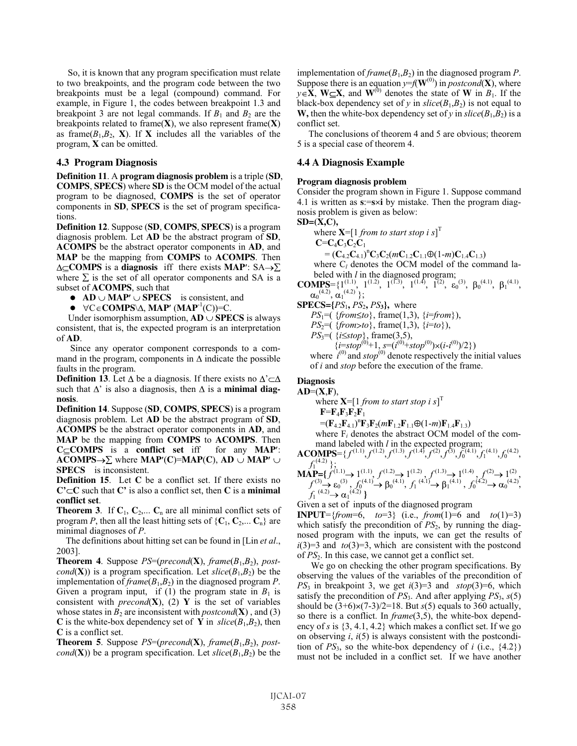So, it is known that any program specification must relate to two breakpoints, and the program code between the two breakpoints must be a legal (compound) command. For example, in Figure 1, the codes between breakpoint 1.3 and breakpoint 3 are not legal commands. If  $B_1$  and  $B_2$  are the breakpoints related to frame(**X**), we also represent frame(**X**) as frame $(B_1, B_2, \mathbf{X})$ . If **X** includes all the variables of the program, **X** can be omitted.

## **4.3 Program Diagnosis**

**Definition 11**. A **program diagnosis problem** is a triple (**SD**, **COMPS**, **SPECS**) where **SD** is the OCM model of the actual program to be diagnosed, **COMPS** is the set of operator components in **SD**, **SPECS** is the set of program specifications.

**Definition 12**. Suppose (**SD**, **COMPS**, **SPECS**) is a program diagnosis problem. Let **AD** be the abstract program of **SD**, **ACOMPS** be the abstract operator components in **AD**, and **MAP** be the mapping from **COMPS** to **ACOMPS**. Then  $\Delta \subseteq \text{COMPS}$  is a **diagnosis** iff there exists **MAP**':  $SA \rightarrow \Sigma$ where  $\Sigma$  is the set of all operator components and SA is a subset of **ACOMPS**, such that

- $\bullet$  **AD**  $\cup$  **MAP'**  $\cup$  **SPECS** is consistent, and
- $\bullet \quad \forall C \in \mathbf{COMPS} \setminus \Delta$ , **MAP'** (**MAP**<sup>-1</sup>(C))=C.

Under isomorphism assumption,  $AD \cup SPECS$  is always consistent, that is, the expected program is an interpretation of **AD**.

Since any operator component corresponds to a command in the program, components in  $\Delta$  indicate the possible faults in the program.

**Definition 13.** Let  $\Delta$  be a diagnosis. If there exists no  $\Delta' \subset \Delta$ such that  $\Delta'$  is also a diagnosis, then  $\Delta$  is a **minimal diagnosis**.

**Definition 14**. Suppose (**SD**, **COMPS**, **SPECS**) is a program diagnosis problem. Let **AD** be the abstract program of **SD**, **ACOMPS** be the abstract operator components in **AD**, and **MAP** be the mapping from **COMPS** to **ACOMPS**. Then **C COMPS** is a **conflict set** iff for any **MAP** :  $ACOMPS \rightarrow \Sigma$  where  $MAP'(C)=MAP(C)$ ,  $AD \cup MAP' \cup$ **SPECS** is inconsistent.

**Definition 15**. Let **C** be a conflict set. If there exists no  $C' \subset C$  such that  $C'$  is also a conflict set, then  $C$  is a **minimal conflict set**.

**Theorem 3.** If  $C_1$ ,  $C_2$ ,...  $C_n$  are all minimal conflict sets of program *P*, then all the least hitting sets of  $\{C_1, C_2, \ldots C_n\}$  are minimal diagnoses of *P*.

The definitions about hitting set can be found in [Lin *et al*., 2003].

**Theorem 4.** Suppose  $PS=(\text{precond}(\mathbf{X}), \text{frame}(B_1, B_2), \text{post-}$ *cond*(**X**)) is a program specification. Let *slice*( $B_1$ , $B_2$ ) be the implementation of  $frame(B_1, B_2)$  in the diagnosed program *P*. Given a program input, if (1) the program state in  $B_1$  is consistent with *precond* $(X)$ , (2) Y is the set of variables whose states in  $B_2$  are inconsistent with *postcond*(**X**), and (3) **C** is the white-box dependency set of **Y** in  $slice(B_1, B_2)$ , then **C** is a conflict set.

**Theorem 5**. Suppose  $PS=(\text{precond}(\mathbf{X}), \text{frame}(B_1, B_2), \text{post-}$ *cond*(**X**)) be a program specification. Let  $slice(B_1, B_2)$  be the implementation of *frame*(*B*1,*B*2) in the diagnosed program *P*. Suppose there is an equation  $y=f(\mathbf{W}^{(0)})$  in *postcond*(**X**), where  $y \in \mathbf{X}$ , **W X**, and **W**<sup>(0)</sup> denotes the state of **W** in  $B_1$ . If the black-box dependency set of *y* in  $slice(B_1, B_2)$  is not equal to **W**, then the white-box dependency set of *y* in  $slice(B_1, B_2)$  is a conflict set.

The conclusions of theorem 4 and 5 are obvious; theorem 5 is a special case of theorem 4.

# **4.4 A Diagnosis Example**

# **Program diagnosis problem**

Consider the program shown in Figure 1. Suppose command 4.1 is written as **s**:=**s i** by mistake. Then the program diagnosis problem is given as below:

$$
SD=(X,C),
$$

where  $\mathbf{X} = [1 \text{ from } t \text{ to start stop } i \text{ s}]^T$  $C = C_4 C_2 C_3 C_1$ 

$$
= (\mathbf{C}_{4.2}\mathbf{C}_{4.1})^{\mathrm{n}}\mathbf{C}_{3}\mathbf{C}_{2}(m\mathbf{C}_{1.2}\mathbf{C}_{1.1}\oplus(1-m)\mathbf{C}_{1.4}\mathbf{C}_{1.3})
$$

where  $C_l$  denotes the OCM model of the command labeled with *l* in the diagnosed program;

**COMPS**={1<sup>(1,1)</sup>, 1<sup>(1,2)</sup>, 1<sup>(1,3)</sup>, 1<sup>(1,4)</sup>, 1<sup>(2)</sup>,  $\varepsilon_0^{(3)}$ ,  $\beta_0^{(4,1)}$ ,  $\beta_1^{(4,1)}$ ,  $\alpha_0^{(4.2)}, \alpha_1^{(4.2)}\};$ 

 $SPECS = {PS_1, PS_2, PS_3}$ , where

$$
PS_1=(\{from\leq to\}, frame(1,3), \{i=from\}),
$$

*PS*<sub>2</sub>=( ${from>to}$ }, frame(1,3),  ${i=to}$ }),

*PS*<sub>3</sub>=( $\{i \le$ *stop* $\}$ , frame(3,5),

 $\{i=stop^{(0)}+1, s=(i^{(0)}+stop^{(0)})\times(i-i^{(0)})/2\})$ 

where  $i^{(0)}$  and *stop*<sup>(0)</sup> denote respectively the initial values of *i* and *stop* before the execution of the frame.

## **Diagnosis**

**AD**=(**X**,**F**), where  $\mathbf{X} = \left[1 \text{ from } to \text{ start stop } i \text{ s}\right]^\text{T}$ 

 $F = F_4F_3F_2F_1$ 

 $=(\mathbf{F}_{4.2}\mathbf{F}_{4.1})^{\mathrm{n}}\mathbf{F}_{3}\mathbf{F}_{2}(m\mathbf{F}_{1.2}\mathbf{F}_{1.1}\oplus(1-m)\mathbf{F}_{1.4}\mathbf{F}_{1.3})$ 

where  $F_i$  denotes the abstract OCM model of the command labeled with *l* in the expected program;

$$
\mathbf{ACOMPS} = \{ f^{(1,1)}, f^{(1,2)}, f^{(1,3)}, f^{(1,4)}, f^{(2)}, f^{(3)}, f_0^{(4,1)}, f_1^{(4,1)}, f_0^{(4,2)}, f_1^{(4,2)} \}
$$
\n
$$
\mathbf{MAP} = \{ f^{(1,1)} \rightarrow 1^{(1,1)}, f^{(1,2)} \rightarrow 1^{(1,2)}, f^{(1,3)} \rightarrow 1^{(1,4)}, f^{(2)} \rightarrow 1^{(2)} \}
$$
\n
$$
f^{(1,1)} \rightarrow f^{(1,1)} \rightarrow f^{(1,2)} \rightarrow f^{(1,3)} \rightarrow f^{(1,4)} \rightarrow f^{(1,4)} \}
$$
\n
$$
f^{(1,3)} \rightarrow f^{(1,1)} \rightarrow f^{(1,2)} \rightarrow f^{(1,3)} \rightarrow f^{(1,4)} \rightarrow f^{(1,4)} \}
$$

 $f^{(3)} \rightarrow \varepsilon_0^{(3)}$ ,  $f_0^{(4.1)} \rightarrow \beta_0^{(4.1)}$ ,  $f_1^{(4.1)} \rightarrow \beta_1^{(4.1)}$ ,  $f_0^{(4.2)} \rightarrow \alpha_0^{(4.2)}$ ,  $f_1^{(4.2)} \rightarrow \alpha_1^{(4.2)}$ 

Given a set of inputs of the diagnosed program

**INPUT**={*from*=6, *to*=3} (i.e., *from*(1)=6 and *to*(1)=3) which satisfy the precondition of  $PS_2$ , by running the diagnosed program with the inputs, we can get the results of  $i(3)=3$  and  $to(3)=3$ , which are consistent with the postcond of *PS*2. In this case, we cannot get a conflict set.

We go on checking the other program specifications. By observing the values of the variables of the precondition of *PS*<sup>3</sup> in breakpoint 3, we get *i*(3)=3 and *stop*(3)=6, which satisfy the precondition of *PS*3. And after applying *PS*3, *s*(5) should be  $(3+6) \times (7-3)/2=18$ . But *s*(5) equals to 360 actually, so there is a conflict. In *frame*(3,5), the white-box dependency of *s* is {3, 4.1, 4.2} which makes a conflict set. If we go on observing *i*, *i*(5) is always consistent with the postcondition of  $PS_3$ , so the white-box dependency of *i* (i.e.,  $\{4.2\}$ ) must not be included in a conflict set. If we have another